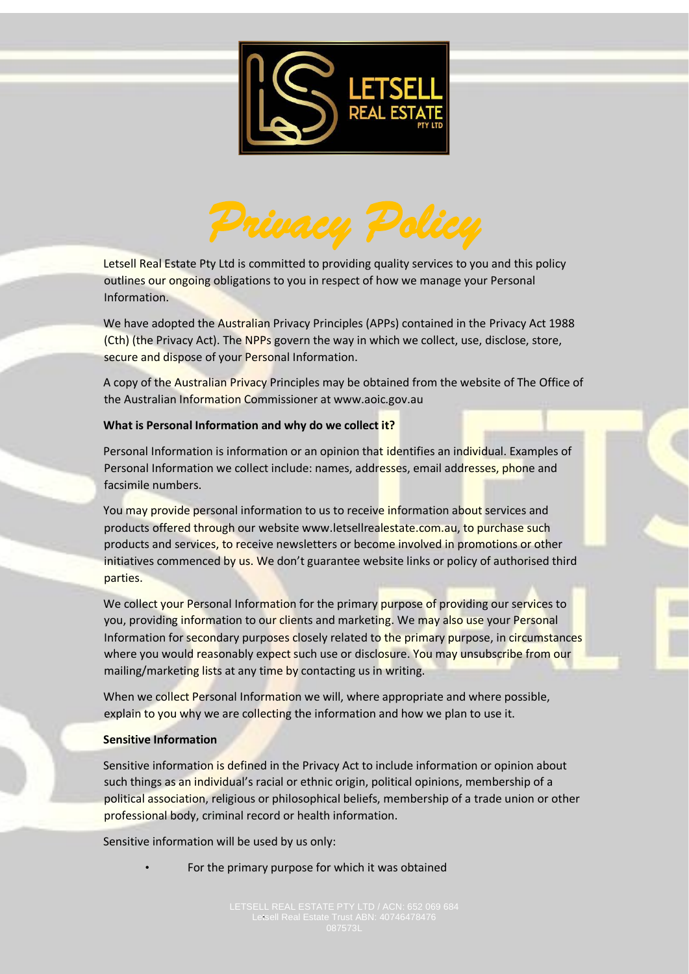



Letsell Real Estate Pty Ltd is committed to providing quality services to you and this policy outlines our ongoing obligations to you in respect of how we manage your Personal Information.

We have adopted the Australian Privacy Principles (APPs) contained in the Privacy Act 1988 (Cth) (the Privacy Act). The NPPs govern the way in which we collect, use, disclose, store, secure and dispose of your Personal Information.

A copy of the Australian Privacy Principles may be obtained from the website of The Office of the Australian Information Commissioner at www.aoic.gov.au

### **What is Personal Information and why do we collect it?**

Personal Information is information or an opinion that identifies an individual. Examples of Personal Information we collect include: names, addresses, email addresses, phone and facsimile numbers.

You may provide personal information to us to receive information about services and products offered through our website www.letsellrealestate.com.au, to purchase such products and services, to receive newsletters or become involved in promotions or other initiatives commenced by us. We don't guarantee website links or policy of authorised third parties.

We collect your Personal Information for the primary purpose of providing our services to you, providing information to our clients and marketing. We may also use your Personal Information for secondary purposes closely related to the primary purpose, in circumstances where you would reasonably expect such use or disclosure. You may unsubscribe from our mailing/marketing lists at any time by contacting us in writing.

When we collect Personal Information we will, where appropriate and where possible, explain to you why we are collecting the information and how we plan to use it.

#### **Sensitive Information**

Sensitive information is defined in the Privacy Act to include information or opinion about such things as an individual's racial or ethnic origin, political opinions, membership of a political association, religious or philosophical beliefs, membership of a trade union or other professional body, criminal record or health information.

Sensitive information will be used by us only:

For the primary purpose for which it was obtained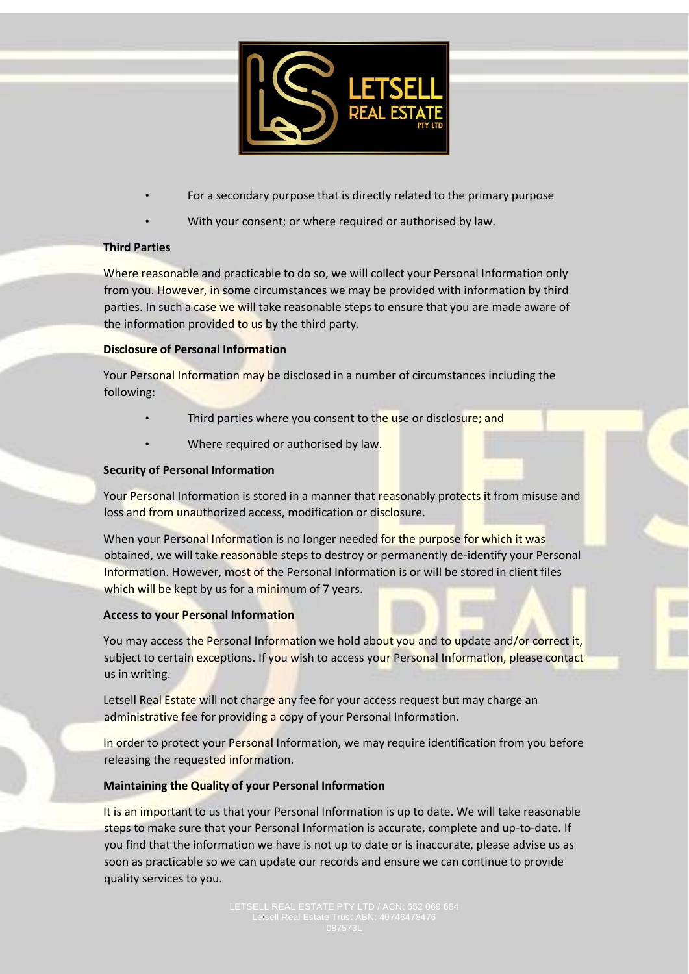

- For a secondary purpose that is directly related to the primary purpose
- With your consent; or where required or authorised by law.

## **Third Parties**

Where reasonable and practicable to do so, we will collect your Personal Information only from you. However, in some circumstances we may be provided with information by third parties. In such a case we will take reasonable steps to ensure that you are made aware of the information provided to us by the third party.

### **Disclosure of Personal Information**

Your Personal Information may be disclosed in a number of circumstances including the following:

- Third parties where you consent to the use or disclosure; and
- Where required or authorised by law.

### **Security of Personal Information**

Your Personal Information is stored in a manner that reasonably protects it from misuse and loss and from unauthorized access, modification or disclosure.

When your Personal Information is no longer needed for the purpose for which it was obtained, we will take reasonable steps to destroy or permanently de-identify your Personal Information. However, most of the Personal Information is or will be stored in client files which will be kept by us for a minimum of 7 years.

### **Access to your Personal Information**

You may access the Personal Information we hold about you and to update and/or correct it, subject to certain exceptions. If you wish to access your Personal Information, please contact us in writing.

Letsell Real Estate will not charge any fee for your access request but may charge an administrative fee for providing a copy of your Personal Information.

In order to protect your Personal Information, we may require identification from you before releasing the requested information.

### **Maintaining the Quality of your Personal Information**

It is an important to us that your Personal Information is up to date. We will take reasonable steps to make sure that your Personal Information is accurate, complete and up-to-date. If you find that the information we have is not up to date or is inaccurate, please advise us as soon as practicable so we can update our records and ensure we can continue to provide quality services to you.